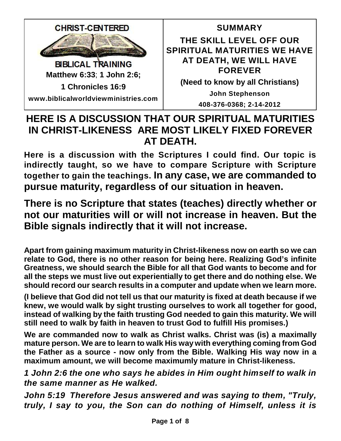

# **HERE IS A DISCUSSION THAT OUR SPIRITUAL MATURITIES IN CHRIST-LIKENESS ARE MOST LIKELY FIXED FOREVER AT DEATH.**

**Here is a discussion with the Scriptures I could find. Our topic is indirectly taught, so we have to compare Scripture with Scripture together to gain the teachings. In any case, we are commanded to pursue maturity, regardless of our situation in heaven.**

**There is no Scripture that states (teaches) directly whether or not our maturities will or will not increase in heaven. But the Bible signals indirectly that it will not increase.**

**Apart from gaining maximum maturity in Christ-likeness now on earth so we can relate to God, there is no other reason for being here. Realizing God's infinite Greatness, we should search the Bible for all that God wants to become and for all the steps we must live out experientially to get there and do nothing else. We should record our search results in a computer and update when we learn more.**

**(I believe that God did not tell us that our maturity is fixed at death because if we knew, we would walk by sight trusting ourselves to work all together for good, instead of walking by the faith trusting God needed to gain this maturity. We will still need to walk by faith in heaven to trust God to fulfill His promises.)**

**We are commanded now to walk as Christ walks. Christ was (is) a maximally mature person. We are to learn to walk His way with everything coming from God the Father as a source - now only from the Bible. Walking His way now in a maximum amount, we will become maximumly mature in Christ-likeness.**

*1 John 2:6 the one who says he abides in Him ought himself to walk in the same manner as He walked.*

*John 5:19 Therefore Jesus answered and was saying to them, "Truly, truly, I say to you, the Son can do nothing of Himself, unless it is*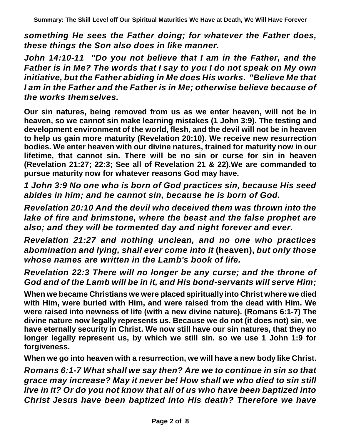*something He sees the Father doing; for whatever the Father does, these things the Son also does in like manner.*

*John 14:10-11 "Do you not believe that I am in the Father, and the Father is in Me? The words that I say to you I do not speak on My own initiative, but the Father abiding in Me does His works. "Believe Me that I am in the Father and the Father is in Me; otherwise believe because of the works themselves.*

**Our sin natures, being removed from us as we enter heaven, will not be in heaven, so we cannot sin make learning mistakes (1 John 3:9). The testing and development environment of the world, flesh, and the devil will not be in heaven to help us gain more maturity (Revelation 20:10). We receive new resurrection bodies. We enter heaven with our divine natures, trained for maturity now in our lifetime, that cannot sin. There will be no sin or curse for sin in heaven (Revelation 21:27; 22:3; See all of Revelation 21 & 22).We are commanded to pursue maturity now for whatever reasons God may have.**

*1 John 3:9 No one who is born of God practices sin, because His seed abides in him; and he cannot sin, because he is born of God.*

*Revelation 20:10 And the devil who deceived them was thrown into the lake of fire and brimstone, where the beast and the false prophet are also; and they will be tormented day and night forever and ever.*

*Revelation 21:27 and nothing unclean, and no one who practices abomination and lying, shall ever come into it* **(heaven),** *but only those whose names are written in the Lamb's book of life.*

*Revelation 22:3 There will no longer be any curse; and the throne of God and of the Lamb will be in it, and His bond-servants will serve Him;*

**When we became Christians we were placed spiritually into Christ where we died with Him, were buried with Him, and were raised from the dead with Him. We were raised into newness of life (with a new divine nature). (Romans 6:1-7) The divine nature now legally represents us. Because we do not (it does not) sin, we have eternally security in Christ. We now still have our sin natures, that they no longer legally represent us, by which we still sin. so we use 1 John 1:9 for forgiveness.** 

**When we go into heaven with a resurrection, we will have a new body like Christ.**

*Romans 6:1-7 What shall we say then? Are we to continue in sin so that grace may increase? May it never be! How shall we who died to sin still live in it? Or do you not know that all of us who have been baptized into Christ Jesus have been baptized into His death? Therefore we have*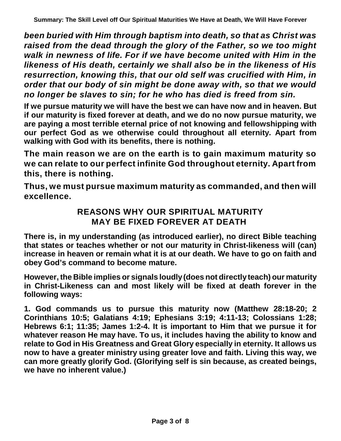*been buried with Him through baptism into death, so that as Christ was raised from the dead through the glory of the Father, so we too might walk in newness of life. For if we have become united with Him in the likeness of His death, certainly we shall also be in the likeness of His resurrection, knowing this, that our old self was crucified with Him, in order that our body of sin might be done away with, so that we would no longer be slaves to sin; for he who has died is freed from sin.*

**If we pursue maturity we will have the best we can have now and in heaven. But if our maturity is fixed forever at death, and we do no now pursue maturity, we are paying a most terrible eternal price of not knowing and fellowshipping with our perfect God as we otherwise could throughout all eternity. Apart from walking with God with its benefits, there is nothing.**

**The main reason we are on the earth is to gain maximum maturity so we can relate to our perfect infinite God throughout eternity. Apart from this, there is nothing.**

**Thus, we must pursue maximum maturity as commanded, and then will excellence.**

## **REASONS WHY OUR SPIRITUAL MATURITY MAY BE FIXED FOREVER AT DEATH**

**There is, in my understanding (as introduced earlier), no direct Bible teaching that states or teaches whether or not our maturity in Christ-likeness will (can) increase in heaven or remain what it is at our death. We have to go on faith and obey God's command to become mature.**

**However, the Bible implies or signals loudly(does not directlyteach) our maturity in Christ-Likeness can and most likely will be fixed at death forever in the following ways:** 

**1. God commands us to pursue this maturity now (Matthew 28:18-20; 2 Corinthians 10:5; Galatians 4:19; Ephesians 3:19; 4:11-13; Colossians 1:28; Hebrews 6:1; 11:35; James 1:2-4. It is important to Him that we pursue it for whatever reason He may have. To us, it includes having the ability to know and relate to God in His Greatness and Great Glory especially in eternity. It allows us now to have a greater ministry using greater love and faith. Living this way, we can more greatly glorify God. (Glorifying self is sin because, as created beings, we have no inherent value.)**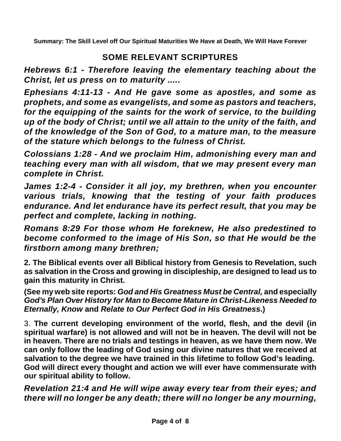## **SOME RELEVANT SCRIPTURES**

*Hebrews 6:1 - Therefore leaving the elementary teaching about the Christ, let us press on to maturity ....***.**

*Ephesians 4:11-13 - And He gave some as apostles, and some as prophets, and some as evangelists, and some as pastors and teachers, for the equipping of the saints for the work of service, to the building up of the body of Christ; until we all attain to the unity of the faith, and of the knowledge of the Son of God, to a mature man, to the measure of the stature which belongs to the fulness of Christ.*

*Colossians 1:28 - And we proclaim Him, admonishing every man and teaching every man with all wisdom, that we may present every man complete in Christ.*

*James 1:2-4 - Consider it all joy, my brethren, when you encounter various trials, knowing that the testing of your faith produces endurance. And let endurance have its perfect result, that you may be perfect and complete, lacking in nothing.*

*Romans 8:29 For those whom He foreknew, He also predestined to become conformed to the image of His Son, so that He would be the firstborn among many brethren;*

**2. The Biblical events over all Biblical history from Genesis to Revelation, such as salvation in the Cross and growing in discipleship, are designed to lead us to gain this maturity in Christ.**

**(See my web site reports:** *God and His Greatness Must be Central,* **and especially** *God's Plan Over History for Man to Become Mature in Christ-Likeness Needed to Eternally, Know* **and** *Relate to Our Perfect God in His Greatness***.)** 

3. **The current developing environment of the world, flesh, and the devil (in spiritual warfare) is not allowed and will not be in heaven. The devil will not be in heaven. There are no trials and testings in heaven, as we have them now. We can only follow the leading of God using our divine natures that we received at salvation to the degree we have trained in this lifetime to follow God's leading. God will direct every thought and action we will ever have commensurate with our spiritual ability to follow.**

*Revelation 21:4 and He will wipe away every tear from their eyes; and there will no longer be any death; there will no longer be any mourning,*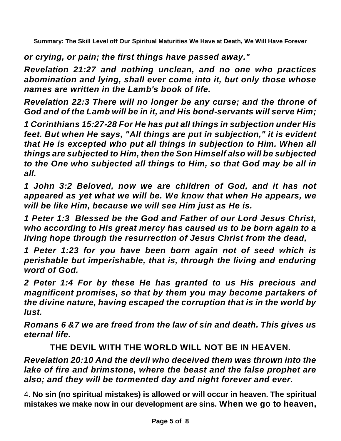*or crying, or pain; the first things have passed away."*

*Revelation 21:27 and nothing unclean, and no one who practices abomination and lying, shall ever come into it, but only those whose names are written in the Lamb's book of life.*

*Revelation 22:3 There will no longer be any curse; and the throne of God and of the Lamb will be in it, and His bond-servants will serve Him;*

*1 Corinthians 15:27-28 For He has put all things in subjection under His feet. But when He says, "All things are put in subjection," it is evident that He is excepted who put all things in subjection to Him. When all things are subjected to Him, then the Son Himself also will be subjected to the One who subjected all things to Him, so that God may be all in all.*

*1 John 3:2 Beloved, now we are children of God, and it has not appeared as yet what we will be. We know that when He appears, we will be like Him, because we will see Him just as He is.*

*1 Peter 1:3 Blessed be the God and Father of our Lord Jesus Christ, who according to His great mercy has caused us to be born again to a living hope through the resurrection of Jesus Christ from the dead,*

*1 Peter 1:23 for you have been born again not of seed which is perishable but imperishable, that is, through the living and enduring word of God.*

*2 Peter 1:4 For by these He has granted to us His precious and magnificent promises, so that by them you may become partakers of the divine nature, having escaped the corruption that is in the world by lust.*

*Romans 6 &7 we are freed from the law of sin and death. This gives us eternal life.*

## **THE DEVIL WITH THE WORLD WILL NOT BE IN HEAVEN***.*

*Revelation 20:10 And the devil who deceived them was thrown into the lake of fire and brimstone, where the beast and the false prophet are also; and they will be tormented day and night forever and ever.*

4. **No sin (no spiritual mistakes) is allowed or will occur in heaven. The spiritual mistakes we make now in our development are sins. When we go to heaven,**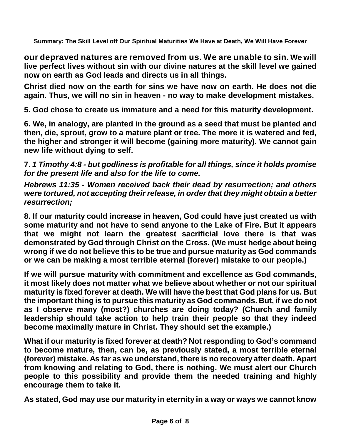**our depraved natures are removed from us. We are unable to sin. We will live perfect lives without sin with our divine natures at the skill level we gained now on earth as God leads and directs us in all things.**

**Christ died now on the earth for sins we have now on earth. He does not die again. Thus, we will no sin in heaven - no way to make development mistakes.**

**5. God chose to create us immature and a need for this maturity development.** 

**6. We, in analogy, are planted in the ground as a seed that must be planted and then, die, sprout, grow to a mature plant or tree. The more it is watered and fed, the higher and stronger it will become (gaining more maturity). We cannot gain new life without dying to self.** 

**7.** *1 Timothy 4:8 - but godliness is profitable for all things, since it holds promise for the present life and also for the life to come.*

*Hebrews 11:35 - Women received back their dead by resurrection; and others were tortured, not accepting their release, in order that they might obtain a better resurrection;* 

**8. If our maturity could increase in heaven, God could have just created us with some maturity and not have to send anyone to the Lake of Fire. But it appears that we might not learn the greatest sacrificial love there is that was demonstrated by God through Christ on the Cross. (We must hedge about being wrong if we do not believe this to be true and pursue maturity as God commands or we can be making a most terrible eternal (forever) mistake to our people.)** 

**If we will pursue maturity with commitment and excellence as God commands, it most likely does not matter what we believe about whether or not our spiritual maturity is fixed forever at death. We will have the best that God plans for us. But the important thing is to pursue this maturity as God commands. But, if we do not as I observe many (most?) churches are doing today? (Church and family leadership should take action to help train their people so that they indeed become maximally mature in Christ. They should set the example.)** 

**What if our maturity is fixed forever at death? Not responding to God's command to become mature, then, can be, as previously stated, a most terrible eternal (forever) mistake. As far as we understand, there is no recovery after death. Apart from knowing and relating to God, there is nothing. We must alert our Church people to this possibility and provide them the needed training and highly encourage them to take it.**

**As stated, God may use our maturity in eternity in a way or ways we cannot know**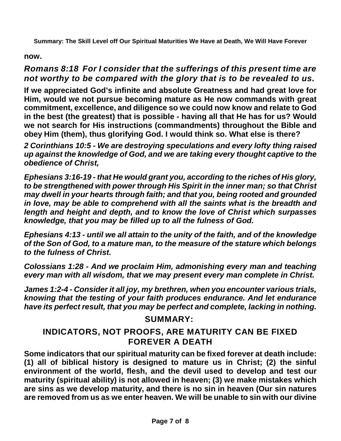#### **now.**

## *Romans 8:18 For I consider that the sufferings of this present time are not worthy to be compared with the glory that is to be revealed to us.*

**If we appreciated God's infinite and absolute Greatness and had great love for Him, would we not pursue becoming mature as He now commands with great commitment, excellence, and diligence so we could now know and relate to God in the best (the greatest) that is possible - having all that He has for us? Would we not search for His instructions (commandments) throughout the Bible and obey Him (them), thus glorifying God. I would think so. What else is there?** 

*2 Corinthians 10:5 - We are destroying speculations and every lofty thing raised up against the knowledge of God, and we are taking every thought captive to the obedience of Christ,* 

*Ephesians 3:16-19 - that He would grant you, according to the riches of His glory, to be strengthened with power through His Spirit in the inner man; so that Christ may dwell in your hearts through faith; and that you, being rooted and grounded in love, may be able to comprehend with all the saints what is the breadth and length and height and depth, and to know the love of Christ which surpasses knowledge, that you may be filled up to all the fulness of God.* 

*Ephesians 4:13 - until we all attain to the unity of the faith, and of the knowledge of the Son of God, to a mature man, to the measure of the stature which belongs to the fulness of Christ.*

*Colossians 1:28 - And we proclaim Him, admonishing every man and teaching every man with all wisdom, that we may present every man complete in Christ.*

*James 1:2-4 - Consider it all joy, my brethren, when you encounter various trials, knowing that the testing of your faith produces endurance. And let endurance have its perfect result, that you may be perfect and complete, lacking in nothing.*

## **SUMMARY:**

## **INDICATORS, NOT PROOFS, ARE MATURITY CAN BE FIXED FOREVER A DEATH**

**Some indicators that our spiritual maturity can be fixed forever at death include: (1) all of biblical history is designed to mature us in Christ; (2) the sinful environment of the world, flesh, and the devil used to develop and test our maturity (spiritual ability) is not allowed in heaven; (3) we make mistakes which are sins as we develop maturity, and there is no sin in heaven (Our sin natures are removed from us as we enter heaven. We will be unable to sin with our divine**